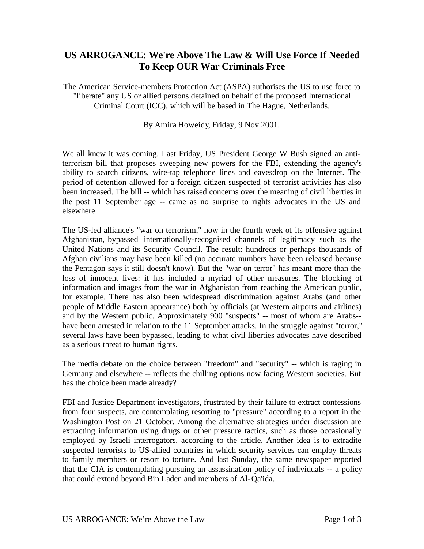## **US ARROGANCE: We're Above The Law & Will Use Force If Needed To Keep OUR War Criminals Free**

The American Service-members Protection Act (ASPA) authorises the US to use force to "liberate" any US or allied persons detained on behalf of the proposed International Criminal Court (ICC), which will be based in The Hague, Netherlands.

By Amira Howeidy, Friday, 9 Nov 2001.

We all knew it was coming. Last Friday, US President George W Bush signed an antiterrorism bill that proposes sweeping new powers for the FBI, extending the agency's ability to search citizens, wire-tap telephone lines and eavesdrop on the Internet. The period of detention allowed for a foreign citizen suspected of terrorist activities has also been increased. The bill -- which has raised concerns over the meaning of civil liberties in the post 11 September age -- came as no surprise to rights advocates in the US and elsewhere.

The US-led alliance's "war on terrorism," now in the fourth week of its offensive against Afghanistan, bypassed internationally-recognised channels of legitimacy such as the United Nations and its Security Council. The result: hundreds or perhaps thousands of Afghan civilians may have been killed (no accurate numbers have been released because the Pentagon says it still doesn't know). But the "war on terror" has meant more than the loss of innocent lives: it has included a myriad of other measures. The blocking of information and images from the war in Afghanistan from reaching the American public, for example. There has also been widespread discrimination against Arabs (and other people of Middle Eastern appearance) both by officials (at Western airports and airlines) and by the Western public. Approximately 900 "suspects" -- most of whom are Arabs- have been arrested in relation to the 11 September attacks. In the struggle against "terror," several laws have been bypassed, leading to what civil liberties advocates have described as a serious threat to human rights.

The media debate on the choice between "freedom" and "security" -- which is raging in Germany and elsewhere -- reflects the chilling options now facing Western societies. But has the choice been made already?

FBI and Justice Department investigators, frustrated by their failure to extract confessions from four suspects, are contemplating resorting to "pressure" according to a report in the Washington Post on 21 October. Among the alternative strategies under discussion are extracting information using drugs or other pressure tactics, such as those occasionally employed by Israeli interrogators, according to the article. Another idea is to extradite suspected terrorists to US-allied countries in which security services can employ threats to family members or resort to torture. And last Sunday, the same newspaper reported that the CIA is contemplating pursuing an assassination policy of individuals -- a policy that could extend beyond Bin Laden and members of Al-Qa'ida.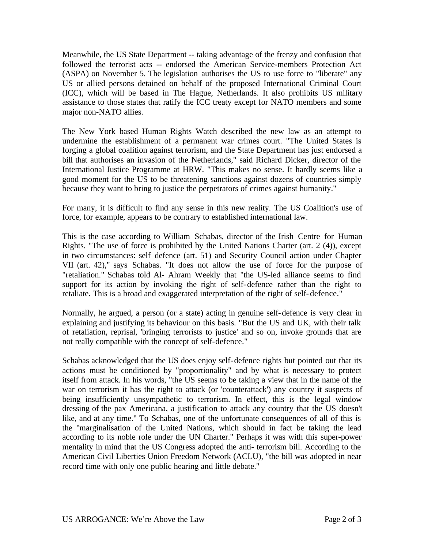Meanwhile, the US State Department -- taking advantage of the frenzy and confusion that followed the terrorist acts -- endorsed the American Service-members Protection Act (ASPA) on November 5. The legislation authorises the US to use force to "liberate" any US or allied persons detained on behalf of the proposed International Criminal Court (ICC), which will be based in The Hague, Netherlands. It also prohibits US military assistance to those states that ratify the ICC treaty except for NATO members and some major non-NATO allies.

The New York based Human Rights Watch described the new law as an attempt to undermine the establishment of a permanent war crimes court. "The United States is forging a global coalition against terrorism, and the State Department has just endorsed a bill that authorises an invasion of the Netherlands," said Richard Dicker, director of the International Justice Programme at HRW. "This makes no sense. It hardly seems like a good moment for the US to be threatening sanctions against dozens of countries simply because they want to bring to justice the perpetrators of crimes against humanity."

For many, it is difficult to find any sense in this new reality. The US Coalition's use of force, for example, appears to be contrary to established international law.

This is the case according to William Schabas, director of the Irish Centre for Human Rights. "The use of force is prohibited by the United Nations Charter (art. 2 (4)), except in two circumstances: self defence (art. 51) and Security Council action under Chapter VII (art. 42)," says Schabas. "It does not allow the use of force for the purpose of "retaliation." Schabas told Al- Ahram Weekly that "the US-led alliance seems to find support for its action by invoking the right of self-defence rather than the right to retaliate. This is a broad and exaggerated interpretation of the right of self-defence."

Normally, he argued, a person (or a state) acting in genuine self-defence is very clear in explaining and justifying its behaviour on this basis. "But the US and UK, with their talk of retaliation, reprisal, 'bringing terrorists to justice' and so on, invoke grounds that are not really compatible with the concept of self-defence."

Schabas acknowledged that the US does enjoy self-defence rights but pointed out that its actions must be conditioned by "proportionality" and by what is necessary to protect itself from attack. In his words, "the US seems to be taking a view that in the name of the war on terrorism it has the right to attack (or 'counterattack') any country it suspects of being insufficiently unsympathetic to terrorism. In effect, this is the legal window dressing of the pax Americana, a justification to attack any country that the US doesn't like, and at any time." To Schabas, one of the unfortunate consequences of all of this is the "marginalisation of the United Nations, which should in fact be taking the lead according to its noble role under the UN Charter." Perhaps it was with this super-power mentality in mind that the US Congress adopted the anti- terrorism bill. According to the American Civil Liberties Union Freedom Network (ACLU), "the bill was adopted in near record time with only one public hearing and little debate."